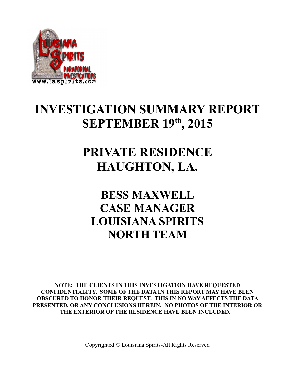

## **INVESTIGATION SUMMARY REPORT SEPTEMBER 19th, 2015**

## **PRIVATE RESIDENCE HAUGHTON, LA.**

## **BESS MAXWELL CASE MANAGER LOUISIANA SPIRITS NORTH TEAM**

**NOTE: THE CLIENTS IN THIS INVESTIGATION HAVE REQUESTED CONFIDENTIALITY. SOME OF THE DATA IN THIS REPORT MAY HAVE BEEN OBSCURED TO HONOR THEIR REQUEST. THIS IN NO WAY AFFECTS THE DATA PRESENTED, OR ANY CONCLUSIONS HEREIN. NO PHOTOS OF THE INTERIOR OR THE EXTERIOR OF THE RESIDENCE HAVE BEEN INCLUDED.**

Copyrighted © Louisiana Spirits-All Rights Reserved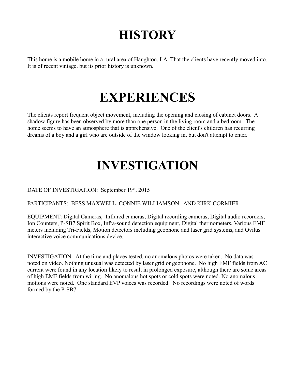## **HISTORY**

This home is a mobile home in a rural area of Haughton, LA. That the clients have recently moved into. It is of recent vintage, but its prior history is unknown.

## **EXPERIENCES**

The clients report frequent object movement, including the opening and closing of cabinet doors. A shadow figure has been observed by more than one person in the living room and a bedroom. The home seems to have an atmosphere that is apprehensive. One of the client's children has recurring dreams of a boy and a girl who are outside of the window looking in, but don't attempt to enter.

# **INVESTIGATION**

DATE OF INVESTIGATION: September 19th, 2015

### PARTICIPANTS: BESS MAXWELL, CONNIE WILLIAMSON, AND KIRK CORMIER

EQUIPMENT: Digital Cameras, Infrared cameras, Digital recording cameras, Digital audio recorders, Ion Counters, P-SB7 Spirit Box, Infra-sound detection equipment, Digital thermometers, Various EMF meters including Tri-Fields, Motion detectors including geophone and laser grid systems, and Ovilus interactive voice communications device.

INVESTIGATION: At the time and places tested, no anomalous photos were taken. No data was noted on video. Nothing unusual was detected by laser grid or geophone. No high EMF fields from AC current were found in any location likely to result in prolonged exposure, although there are some areas of high EMF fields from wiring. No anomalous hot spots or cold spots were noted. No anomalous motions were noted. One standard EVP voices was recorded. No recordings were noted of words formed by the P-SB7.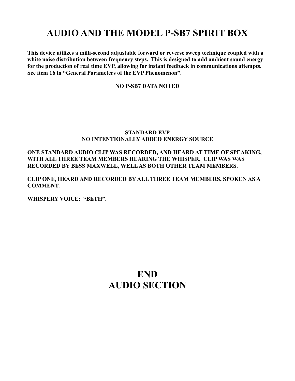### **AUDIO AND THE MODEL P-SB7 SPIRIT BOX**

**This device utilizes a milli-second adjustable forward or reverse sweep technique coupled with a white noise distribution between frequency steps. This is designed to add ambient sound energy for the production of real time EVP, allowing for instant feedback in communications attempts. See item 16 in "General Parameters of the EVP Phenomenon".** 

#### **NO P-SB7 DATA NOTED**

#### **STANDARD EVP NO INTENTIONALLY ADDED ENERGY SOURCE**

#### **ONE STANDARD AUDIO CLIP WAS RECORDED, AND HEARD AT TIME OF SPEAKING, WITH ALL THREE TEAM MEMBERS HEARING THE WHISPER. CLIP WAS WAS RECORDED BY BESS MAXWELL, WELL AS BOTH OTHER TEAM MEMBERS.**

**CLIP ONE, HEARD AND RECORDED BY ALL THREE TEAM MEMBERS, SPOKEN AS A COMMENT.**

**WHISPERY VOICE: "BETH".**

### **END AUDIO SECTION**